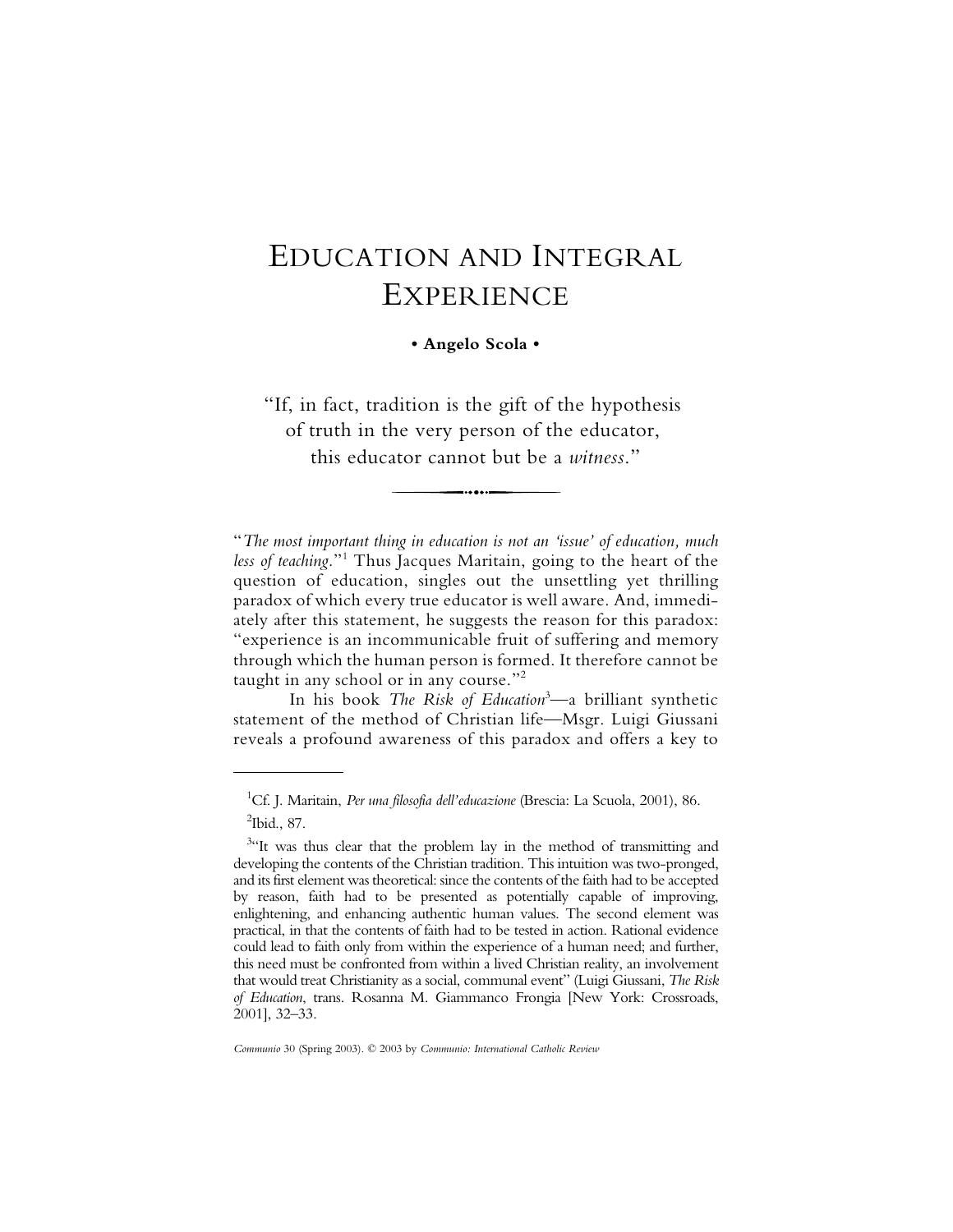# EDUCATION AND INTEGRAL **EXPERIENCE**

**• Angelo Scola •**

"If, in fact, tradition is the gift of the hypothesis of truth in the very person of the educator, this educator cannot but be a *witness*."

"*The most important thing in education is not an 'issue' of education, much* less of teaching."<sup>1</sup> Thus Jacques Maritain, going to the heart of the question of education, singles out the unsettling yet thrilling paradox of which every true educator is well aware. And, immediately after this statement, he suggests the reason for this paradox: "experience is an incommunicable fruit of suffering and memory through which the human person is formed. It therefore cannot be taught in any school or in any course."<sup>2</sup>

In his book *The Risk of Education*<sup>3</sup>—a brilliant synthetic statement of the method of Christian life—Msgr. Luigi Giussani reveals a profound awareness of this paradox and offers a key to

<sup>1</sup>Cf. J. Maritain, *Per una filosofia dell'educazione* (Brescia: La Scuola, 2001), 86.

 $2$ Ibid., 87.

 $3$ "It was thus clear that the problem lay in the method of transmitting and developing the contents of the Christian tradition. This intuition was two-pronged, and its first element was theoretical: since the contents of the faith had to be accepted by reason, faith had to be presented as potentially capable of improving, enlightening, and enhancing authentic human values. The second element was practical, in that the contents of faith had to be tested in action. Rational evidence could lead to faith only from within the experience of a human need; and further, this need must be confronted from within a lived Christian reality, an involvement that would treat Christianity as a social, communal event" (Luigi Giussani, *The Risk of Education*, trans. Rosanna M. Giammanco Frongia [New York: Crossroads, 2001], 32–33.

*Communio* 30 (Spring 2003). © 2003 by *Communio: International Catholic Review*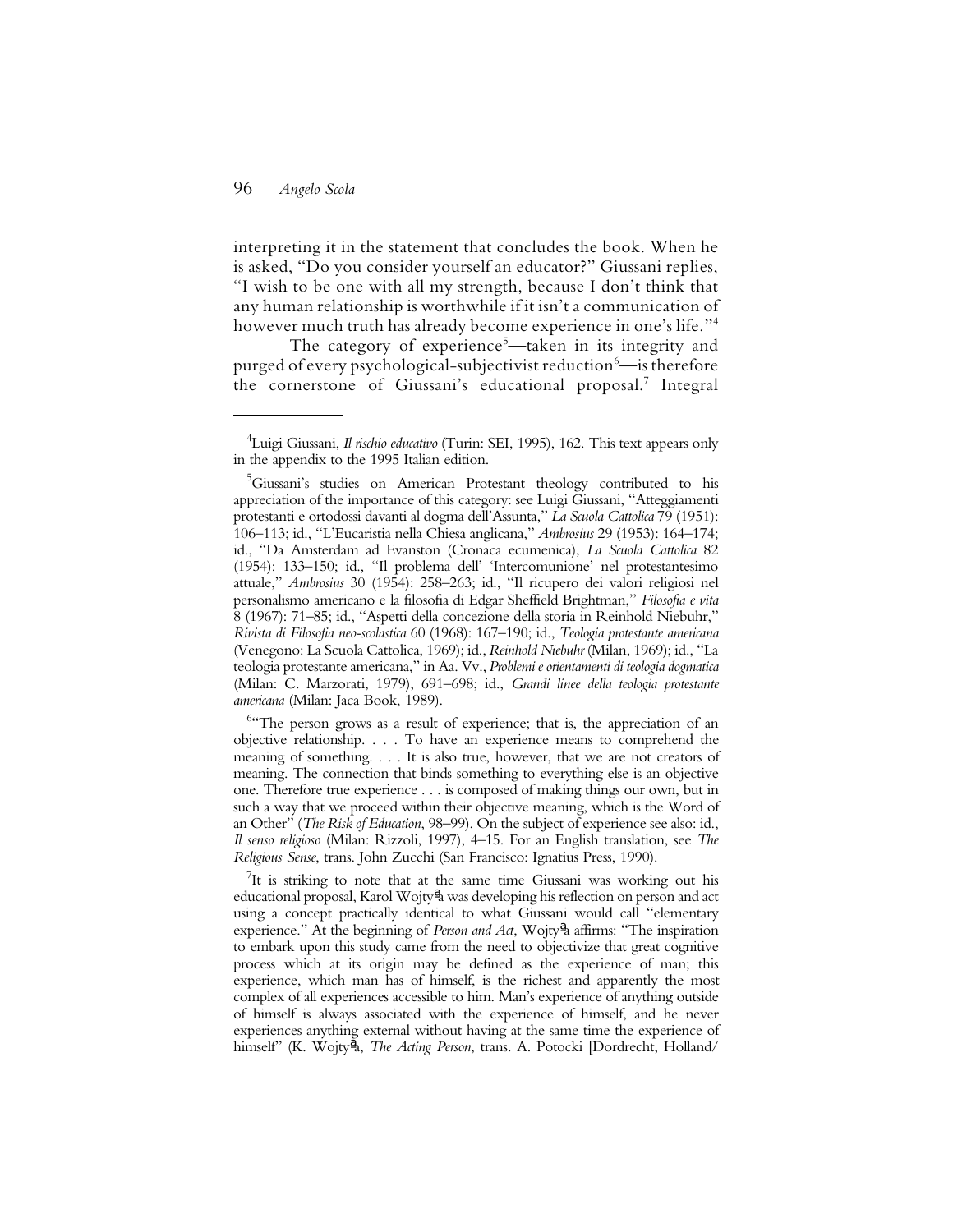interpreting it in the statement that concludes the book. When he is asked, "Do you consider yourself an educator?" Giussani replies, "I wish to be one with all my strength, because I don't think that any human relationship is worthwhile if it isn't a communication of however much truth has already become experience in one's life."<sup>4</sup>

The category of experience<sup>5</sup>—taken in its integrity and purged of every psychological-subjectivist reduction $\epsilon$ —is therefore the cornerstone of Giussani's educational proposal.<sup>7</sup> Integral

<sup>6</sup>"The person grows as a result of experience; that is, the appreciation of an objective relationship. . . . To have an experience means to comprehend the meaning of something. . . . It is also true, however, that we are not creators of meaning. The connection that binds something to everything else is an objective one. Therefore true experience . . . is composed of making things our own, but in such a way that we proceed within their objective meaning, which is the Word of an Other" (*The Risk of Education*, 98–99). On the subject of experience see also: id., *Il senso religioso* (Milan: Rizzoli, 1997), 4–15. For an English translation, see *The Religious Sense*, trans. John Zucchi (San Francisco: Ignatius Press, 1990).

 $7$ It is striking to note that at the same time Giussani was working out his educational proposal, Karol Wojty»a was developing his reflection on person and act using a concept practically identical to what Giussani would call "elementary experience." At the beginning of *Person and Act*, Wojtym affirms: "The inspiration to embark upon this study came from the need to objectivize that great cognitive process which at its origin may be defined as the experience of man; this experience, which man has of himself, is the richest and apparently the most complex of all experiences accessible to him. Man's experience of anything outside of himself is always associated with the experience of himself, and he never experiences anything external without having at the same time the experience of himself" (K. Wojty»a, *The Acting Person*, trans. A. Potocki [Dordrecht, Holland/

<sup>4</sup> Luigi Giussani, *Il rischio educativo* (Turin: SEI, 1995), 162. This text appears only in the appendix to the 1995 Italian edition.

<sup>&</sup>lt;sup>5</sup>Giussani's studies on American Protestant theology contributed to his appreciation of the importance of this category: see Luigi Giussani, "Atteggiamenti protestanti e ortodossi davanti al dogma dell'Assunta," *La Scuola Cattolica* 79 (1951): 106–113; id., "L'Eucaristia nella Chiesa anglicana," *Ambrosius* 29 (1953): 164–174; id., "Da Amsterdam ad Evanston (Cronaca ecumenica), *La Scuola Cattolica* 82 (1954): 133–150; id., "Il problema dell' 'Intercomunione' nel protestantesimo attuale," *Ambrosius* 30 (1954): 258–263; id., "Il ricupero dei valori religiosi nel personalismo americano e la filosofia di Edgar Sheffield Brightman," *Filosofia e vita* 8 (1967): 71–85; id., "Aspetti della concezione della storia in Reinhold Niebuhr," *Rivista di Filosofia neo-scolastica* 60 (1968): 167–190; id., *Teologia protestante americana* (Venegono: La Scuola Cattolica, 1969); id., *Reinhold Niebuhr* (Milan, 1969); id., "La teologia protestante americana," in Aa. Vv., *Problemi e orientamenti di teologia dogmatica* (Milan: C. Marzorati, 1979), 691–698; id., *Grandi linee della teologia protestante americana* (Milan: Jaca Book, 1989).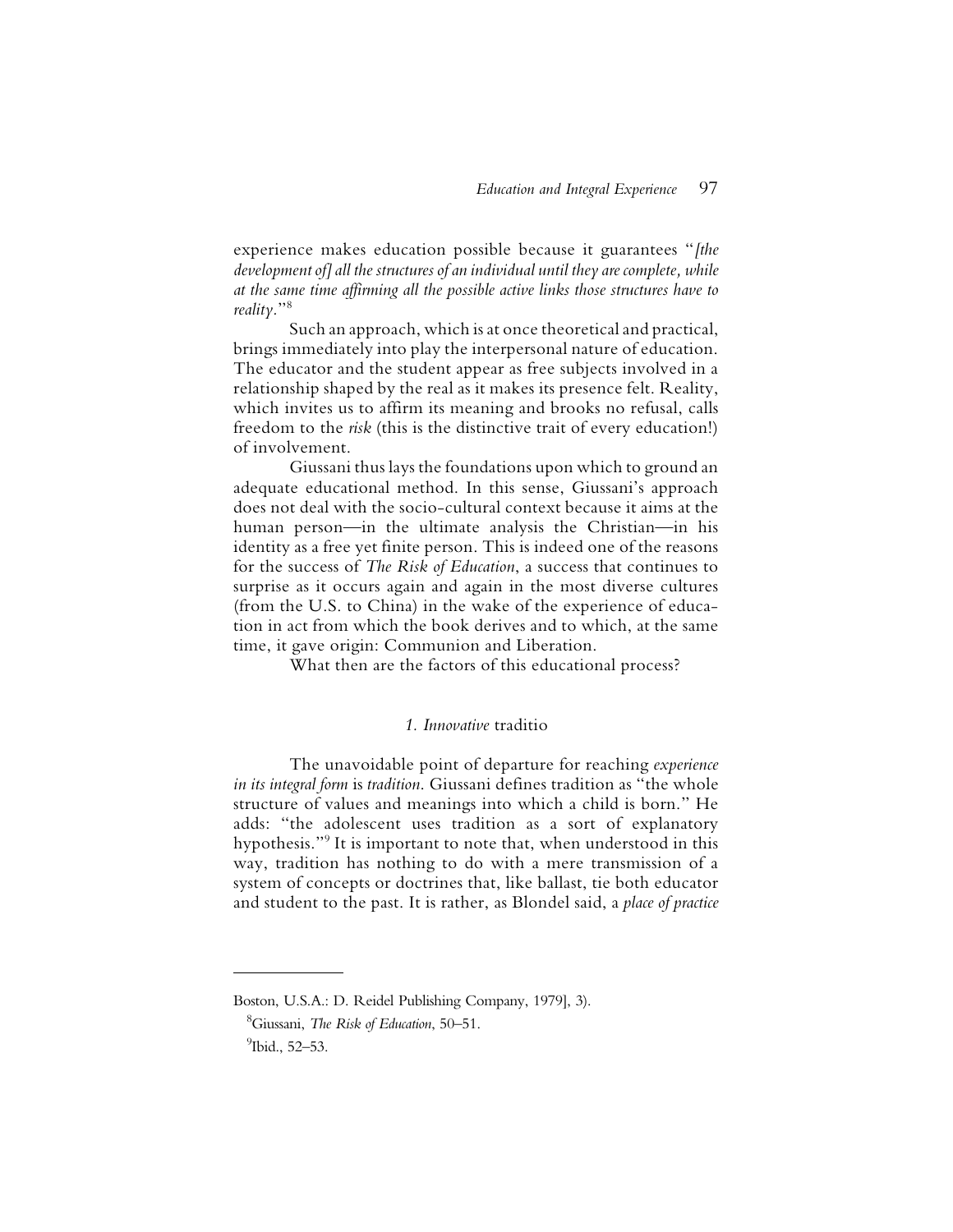experience makes education possible because it guarantees "*[the development of] all the structures of an individual until they are complete, while at the same time affirming all the possible active links those structures have to reality.*" 8

Such an approach, which is at once theoretical and practical, brings immediately into play the interpersonal nature of education. The educator and the student appear as free subjects involved in a relationship shaped by the real as it makes its presence felt. Reality, which invites us to affirm its meaning and brooks no refusal, calls freedom to the *risk* (this is the distinctive trait of every education!) of involvement.

Giussani thus lays the foundations upon which to ground an adequate educational method. In this sense, Giussani's approach does not deal with the socio-cultural context because it aims at the human person—in the ultimate analysis the Christian—in his identity as a free yet finite person. This is indeed one of the reasons for the success of *The Risk of Education*, a success that continues to surprise as it occurs again and again in the most diverse cultures (from the U.S. to China) in the wake of the experience of education in act from which the book derives and to which, at the same time, it gave origin: Communion and Liberation.

What then are the factors of this educational process?

#### *1. Innovative* traditio

The unavoidable point of departure for reaching *experience in its integral form* is *tradition*. Giussani defines tradition as "the whole structure of values and meanings into which a child is born." He adds: "the adolescent uses tradition as a sort of explanatory hypothesis."<sup>9</sup> It is important to note that, when understood in this way, tradition has nothing to do with a mere transmission of a system of concepts or doctrines that, like ballast, tie both educator and student to the past. It is rather, as Blondel said, a *place of practice*

Boston, U.S.A.: D. Reidel Publishing Company, 1979], 3).

<sup>8</sup>Giussani, *The Risk of Education*, 50–51.

<sup>&</sup>lt;sup>9</sup>Ibid., 52–53.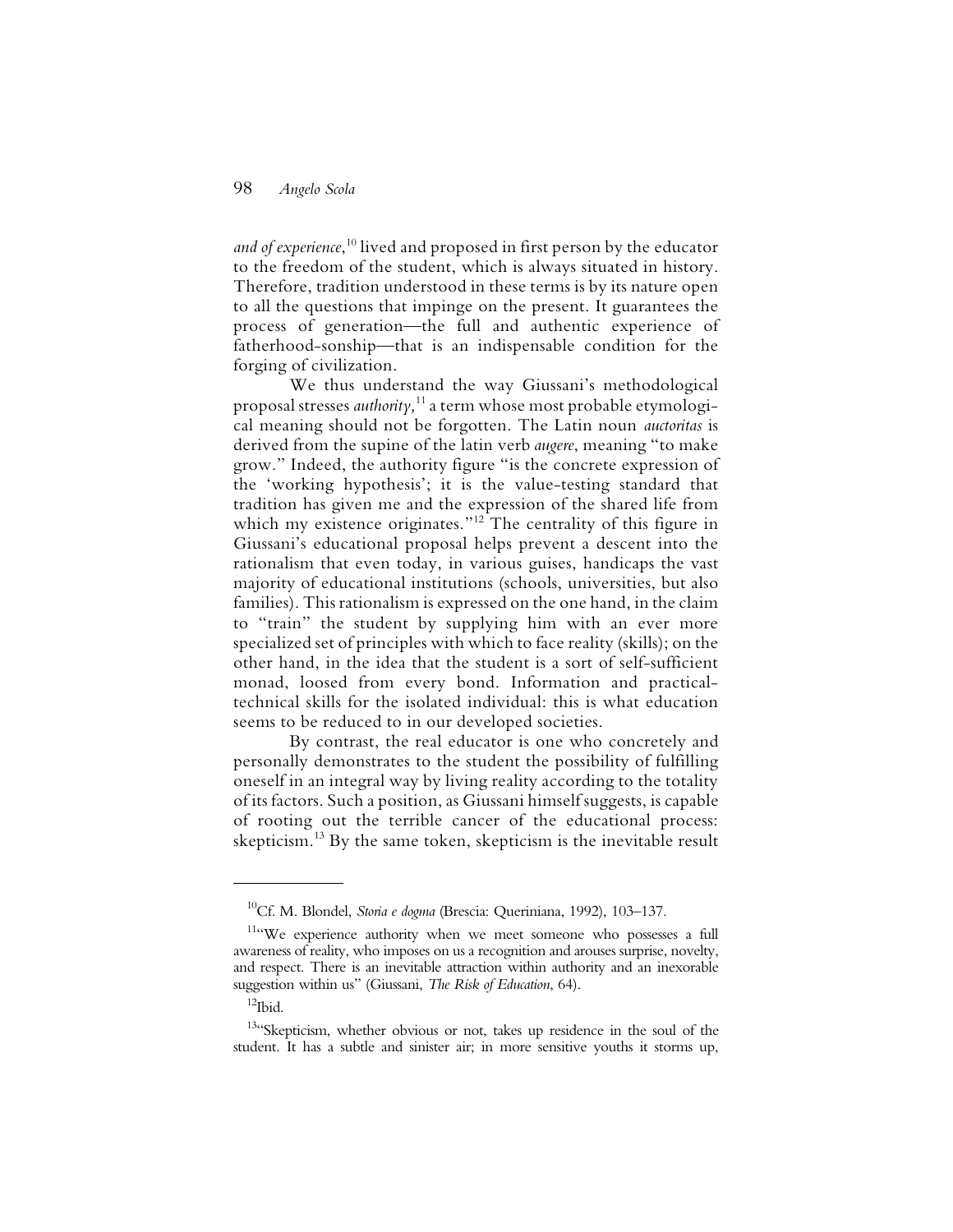*and of experience*, <sup>10</sup> lived and proposed in first person by the educator to the freedom of the student, which is always situated in history. Therefore, tradition understood in these terms is by its nature open to all the questions that impinge on the present. It guarantees the process of generation—the full and authentic experience of fatherhood-sonship—that is an indispensable condition for the forging of civilization.

We thus understand the way Giussani's methodological proposal stresses *authority,*<sup>11</sup> a term whose most probable etymological meaning should not be forgotten. The Latin noun *auctoritas* is derived from the supine of the latin verb *augere*, meaning "to make grow." Indeed, the authority figure "is the concrete expression of the 'working hypothesis'; it is the value-testing standard that tradition has given me and the expression of the shared life from which my existence originates."<sup>12</sup> The centrality of this figure in Giussani's educational proposal helps prevent a descent into the rationalism that even today, in various guises, handicaps the vast majority of educational institutions (schools, universities, but also families). This rationalism is expressed on the one hand, in the claim to "train" the student by supplying him with an ever more specialized set of principles with which to face reality (skills); on the other hand, in the idea that the student is a sort of self-sufficient monad, loosed from every bond. Information and practicaltechnical skills for the isolated individual: this is what education seems to be reduced to in our developed societies.

By contrast, the real educator is one who concretely and personally demonstrates to the student the possibility of fulfilling oneself in an integral way by living reality according to the totality of its factors. Such a position, as Giussani himself suggests, is capable of rooting out the terrible cancer of the educational process: skepticism.<sup>13</sup> By the same token, skepticism is the inevitable result

<sup>10</sup>Cf. M. Blondel, *Storia e dogma* (Brescia: Queriniana, 1992), 103–137.

 $11$ "We experience authority when we meet someone who possesses a full awareness of reality, who imposes on us a recognition and arouses surprise, novelty, and respect. There is an inevitable attraction within authority and an inexorable suggestion within us" (Giussani, *The Risk of Education*, 64).

 $12$ Ibid.

 $13$ . Skepticism, whether obvious or not, takes up residence in the soul of the student. It has a subtle and sinister air; in more sensitive youths it storms up,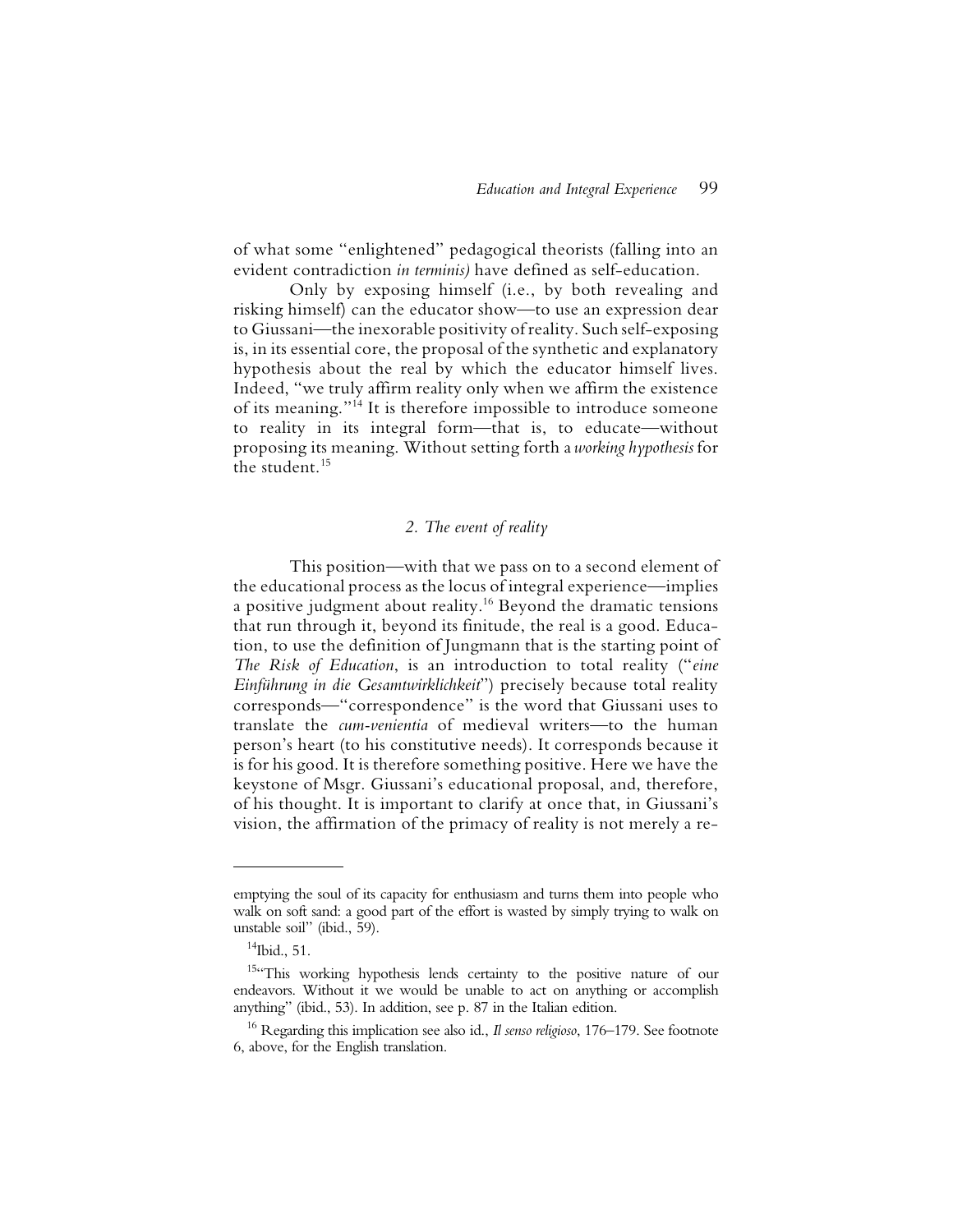of what some "enlightened" pedagogical theorists (falling into an evident contradiction *in terminis)* have defined as self-education.

Only by exposing himself (i.e., by both revealing and risking himself) can the educator show—to use an expression dear to Giussani—the inexorable positivity of reality. Such self-exposing is, in its essential core, the proposal of the synthetic and explanatory hypothesis about the real by which the educator himself lives. Indeed, "we truly affirm reality only when we affirm the existence of its meaning."<sup>14</sup> It is therefore impossible to introduce someone to reality in its integral form—that is, to educate—without proposing its meaning. Without setting forth a *working hypothesis* for the student.<sup>15</sup>

## *2. The event of reality*

This position—with that we pass on to a second element of the educational process as the locus of integral experience—implies a positive judgment about reality.<sup>16</sup> Beyond the dramatic tensions that run through it, beyond its finitude, the real is a good. Education, to use the definition of Jungmann that is the starting point of *The Risk of Education*, is an introduction to total reality ("*eine Einführung in die Gesamtwirklichkeit*") precisely because total reality corresponds—"correspondence" is the word that Giussani uses to translate the *cum-venientia* of medieval writers—to the human person's heart (to his constitutive needs). It corresponds because it is for his good. It is therefore something positive. Here we have the keystone of Msgr. Giussani's educational proposal, and, therefore, of his thought. It is important to clarify at once that, in Giussani's vision, the affirmation of the primacy of reality is not merely a re-

emptying the soul of its capacity for enthusiasm and turns them into people who walk on soft sand: a good part of the effort is wasted by simply trying to walk on unstable soil" (ibid., 59).

<sup>14</sup>Ibid., 51.

<sup>15&</sup>quot;This working hypothesis lends certainty to the positive nature of our endeavors. Without it we would be unable to act on anything or accomplish anything" (ibid., 53). In addition, see p. 87 in the Italian edition.

<sup>16</sup> Regarding this implication see also id., *Il senso religioso*, 176–179. See footnote 6, above, for the English translation.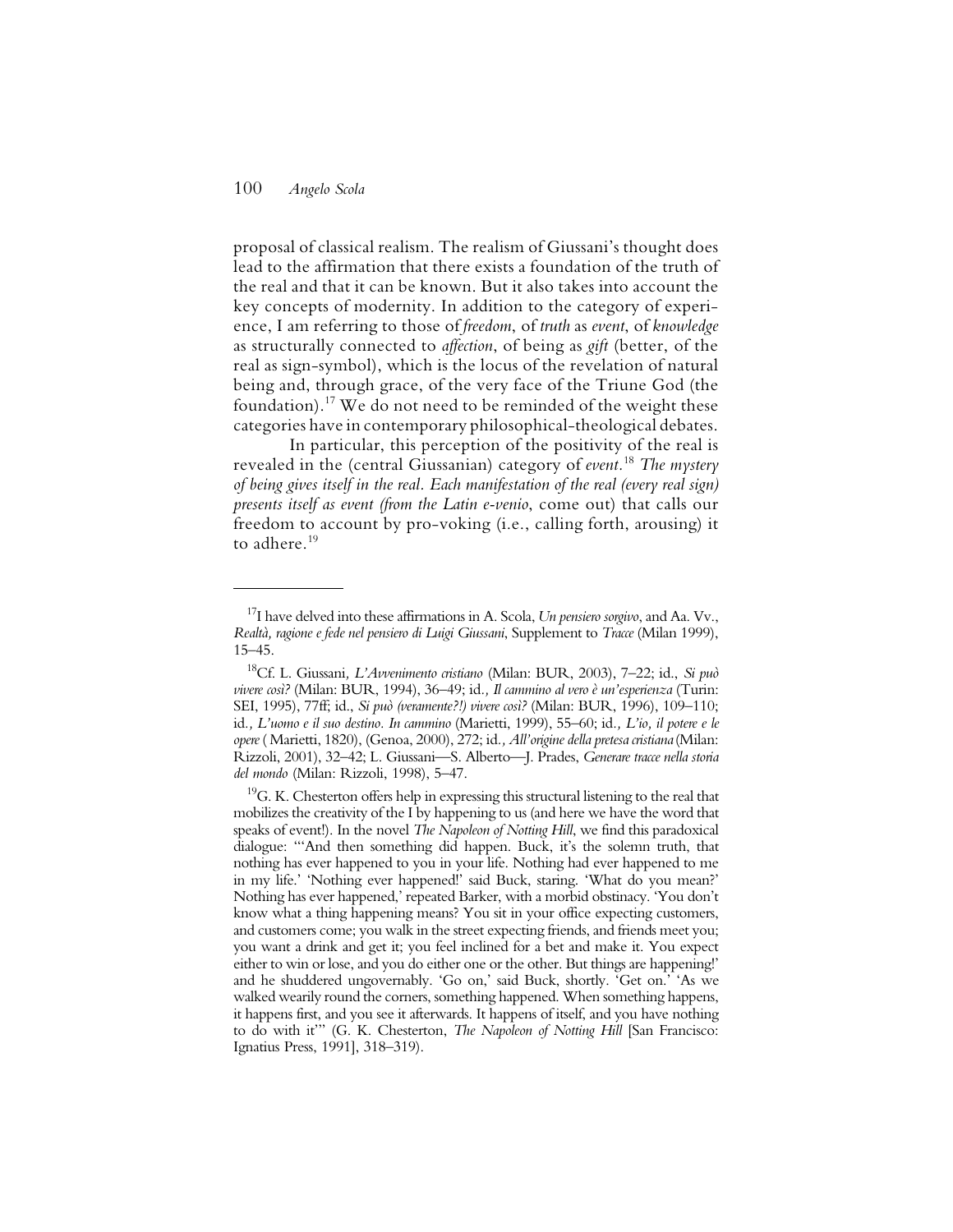proposal of classical realism. The realism of Giussani's thought does lead to the affirmation that there exists a foundation of the truth of the real and that it can be known. But it also takes into account the key concepts of modernity. In addition to the category of experience, I am referring to those of *freedom*, of *truth* as *event*, of *knowledge* as structurally connected to *affection*, of being as *gift* (better, of the real as sign-symbol), which is the locus of the revelation of natural being and, through grace, of the very face of the Triune God (the foundation).<sup>17</sup> We do not need to be reminded of the weight these categories have in contemporary philosophical-theological debates.

In particular, this perception of the positivity of the real is revealed in the (central Giussanian) category of *event.*<sup>18</sup> *The mystery of being gives itself in the real. Each manifestation of the real (every real sign) presents itself as event (from the Latin e-venio*, come out) that calls our freedom to account by pro-voking (i.e., calling forth, arousing) it to adhere.<sup>19</sup>

<sup>17</sup>I have delved into these affirmations in A. Scola, *Un pensiero sorgivo*, and Aa. Vv., *Realtà, ragione e fede nel pensiero di Luigi Giussani*, Supplement to *Tracce* (Milan 1999), 15–45.

<sup>18</sup>Cf. L. Giussani*, L'Avvenimento cristiano* (Milan: BUR, 2003), 7–22; id., *Si può vivere così?* (Milan: BUR, 1994), 36–49; id*., Il cammino al vero è un'esperienza* (Turin: SEI, 1995), 77ff; id., *Si può (veramente?!) vivere così?* (Milan: BUR, 1996), 109–110; id*., L'uomo e il suo destino. In cammino* (Marietti, 1999), 55–60; id*., L'io, il potere e le opere* ( Marietti, 1820), (Genoa, 2000), 272; id*., All'origine della pretesa cristiana* (Milan: Rizzoli, 2001), 32–42; L. Giussani—S. Alberto—J. Prades, *Generare tracce nella storia del mondo* (Milan: Rizzoli, 1998), 5–47.

 $19$ G. K. Chesterton offers help in expressing this structural listening to the real that mobilizes the creativity of the I by happening to us (and here we have the word that speaks of event!). In the novel *The Napoleon of Notting Hill*, we find this paradoxical dialogue: "'And then something did happen. Buck, it's the solemn truth, that nothing has ever happened to you in your life. Nothing had ever happened to me in my life.' 'Nothing ever happened!' said Buck, staring. 'What do you mean?' Nothing has ever happened,' repeated Barker, with a morbid obstinacy. 'You don't know what a thing happening means? You sit in your office expecting customers, and customers come; you walk in the street expecting friends, and friends meet you; you want a drink and get it; you feel inclined for a bet and make it. You expect either to win or lose, and you do either one or the other. But things are happening!' and he shuddered ungovernably. 'Go on,' said Buck, shortly. 'Get on.' 'As we walked wearily round the corners, something happened. When something happens, it happens first, and you see it afterwards. It happens of itself, and you have nothing to do with it'" (G. K. Chesterton, *The Napoleon of Notting Hill* [San Francisco: Ignatius Press, 1991], 318–319).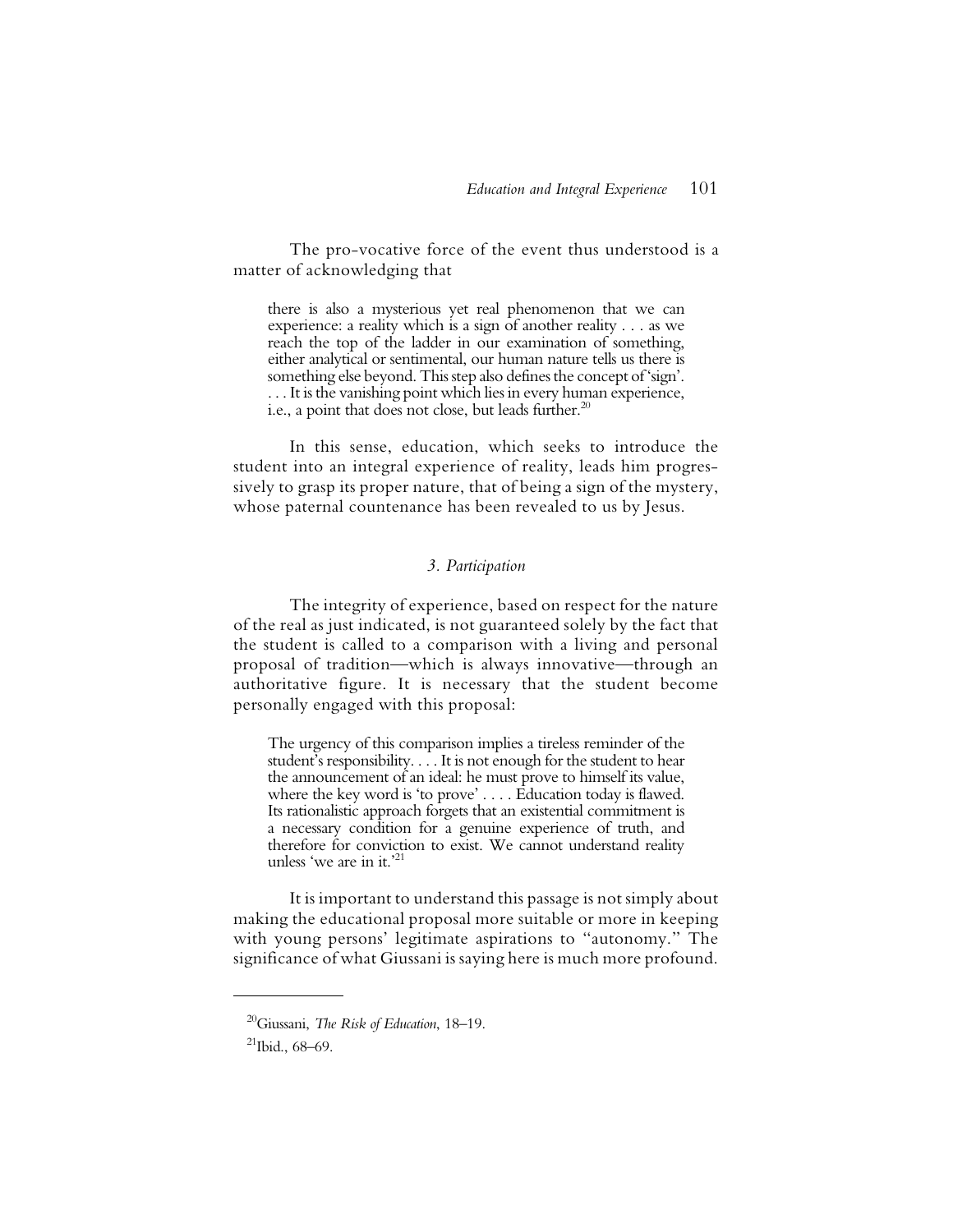The pro-vocative force of the event thus understood is a matter of acknowledging that

there is also a mysterious yet real phenomenon that we can experience: a reality which is a sign of another reality . . . as we reach the top of the ladder in our examination of something, either analytical or sentimental, our human nature tells us there is something else beyond. This step also defines the concept of 'sign'. . . . It is the vanishing point which lies in every human experience, i.e., a point that does not close, but leads further.<sup>20</sup>

In this sense, education, which seeks to introduce the student into an integral experience of reality, leads him progressively to grasp its proper nature, that of being a sign of the mystery, whose paternal countenance has been revealed to us by Jesus.

#### *3. Participation*

The integrity of experience, based on respect for the nature of the real as just indicated, is not guaranteed solely by the fact that the student is called to a comparison with a living and personal proposal of tradition—which is always innovative—through an authoritative figure. It is necessary that the student become personally engaged with this proposal:

The urgency of this comparison implies a tireless reminder of the student's responsibility. . . . It is not enough for the student to hear the announcement of an ideal: he must prove to himself its value, where the key word is 'to prove' . . . . Education today is flawed. Its rationalistic approach forgets that an existential commitment is a necessary condition for a genuine experience of truth, and therefore for conviction to exist. We cannot understand reality unless 'we are in it.'<sup>21</sup>

It is important to understand this passage is not simply about making the educational proposal more suitable or more in keeping with young persons' legitimate aspirations to "autonomy." The significance of what Giussani is saying here is much more profound.

<sup>20</sup>Giussani, *The Risk of Education*, 18–19.

 $^{21}$ Ibid., 68–69.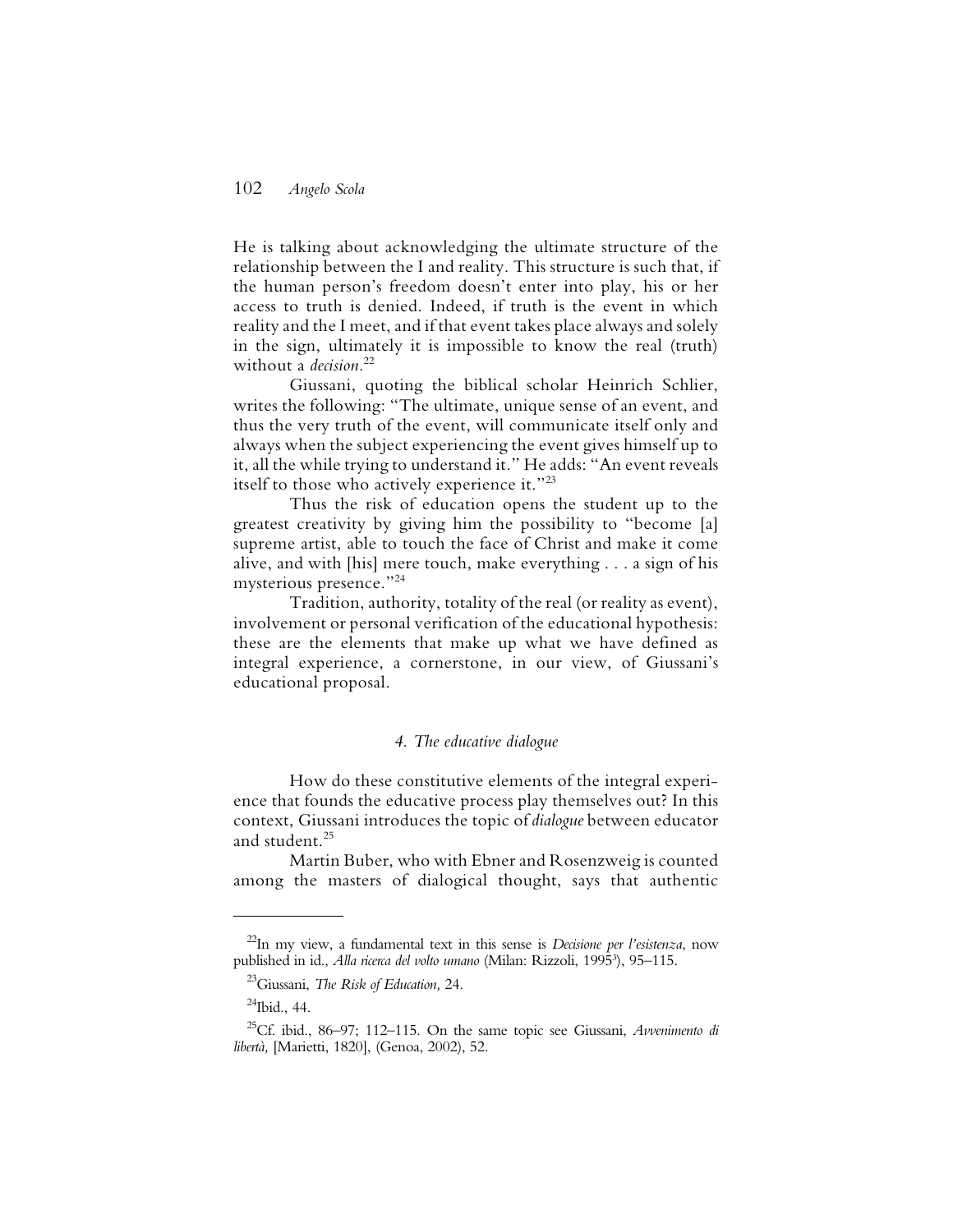He is talking about acknowledging the ultimate structure of the relationship between the I and reality. This structure is such that, if the human person's freedom doesn't enter into play, his or her access to truth is denied. Indeed, if truth is the event in which reality and the I meet, and if that event takes place always and solely in the sign, ultimately it is impossible to know the real (truth) without a *decision.*<sup>22</sup>

Giussani, quoting the biblical scholar Heinrich Schlier, writes the following: "The ultimate, unique sense of an event, and thus the very truth of the event, will communicate itself only and always when the subject experiencing the event gives himself up to it, all the while trying to understand it." He adds: "An event reveals itself to those who actively experience it."<sup>23</sup>

Thus the risk of education opens the student up to the greatest creativity by giving him the possibility to "become [a] supreme artist, able to touch the face of Christ and make it come alive, and with [his] mere touch, make everything . . . a sign of his mysterious presence."<sup>24</sup>

Tradition, authority, totality of the real (or reality as event), involvement or personal verification of the educational hypothesis: these are the elements that make up what we have defined as integral experience, a cornerstone, in our view, of Giussani's educational proposal.

#### *4. The educative dialogue*

How do these constitutive elements of the integral experience that founds the educative process play themselves out? In this context, Giussani introduces the topic of *dialogue* between educator and student.<sup>25</sup>

Martin Buber, who with Ebner and Rosenzweig is counted among the masters of dialogical thought, says that authentic

<sup>22</sup>In my view, a fundamental text in this sense is *Decisione per l'esistenza*, now published in id., *Alla ricerca del volto umano* (Milan: Rizzoli, 1995<sup>3</sup>), 95–115.

<sup>23</sup>Giussani, *The Risk of Education,* 24.

 $^{24}$ Ibid., 44.

<sup>25</sup>Cf. ibid., 86–97; 112–115. On the same topic see Giussani, *Avvenimento di libertà,* [Marietti, 1820], (Genoa, 2002), 52.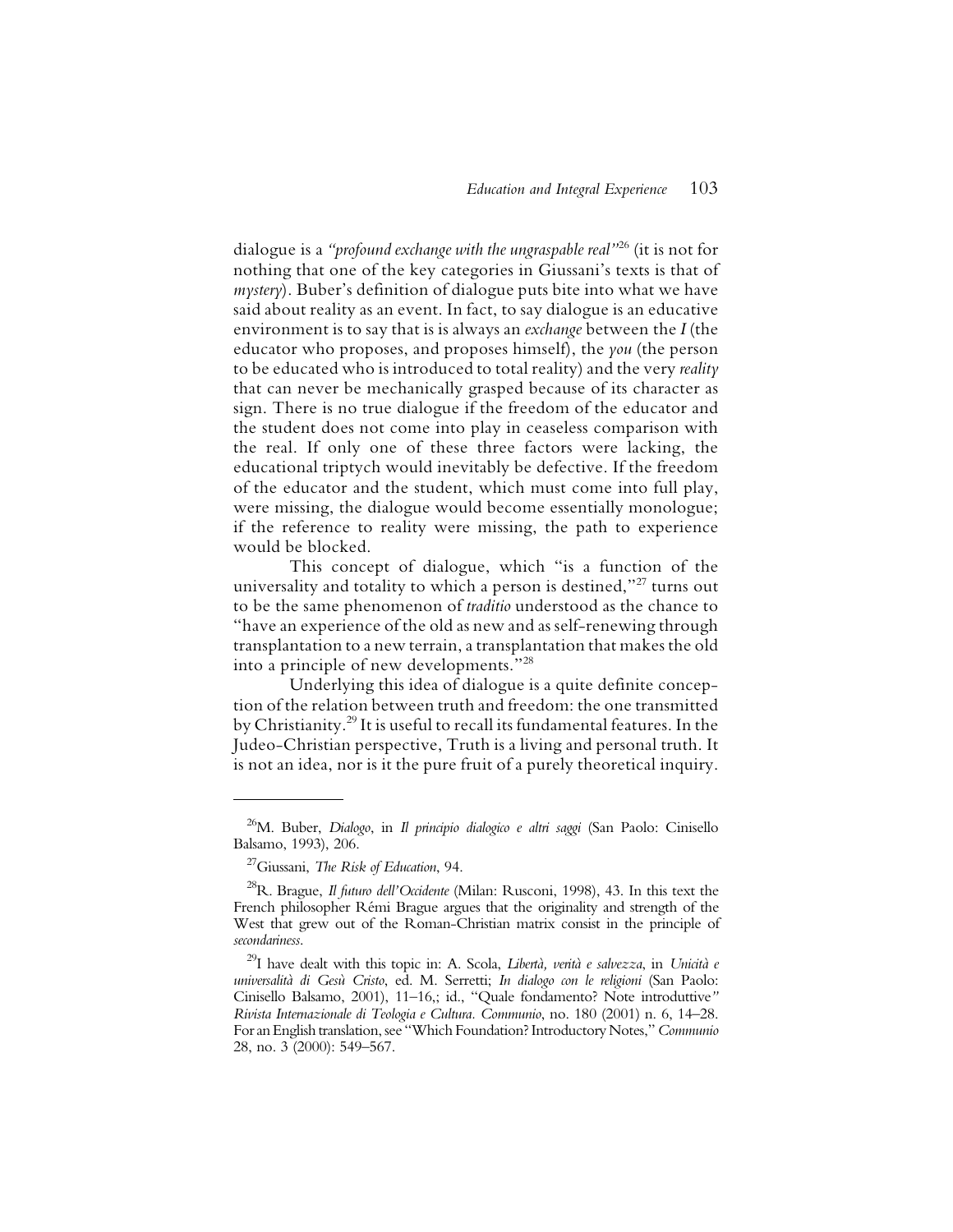dialogue is a *"profound exchange with the ungraspable real"*<sup>26</sup> (it is not for nothing that one of the key categories in Giussani's texts is that of *mystery*). Buber's definition of dialogue puts bite into what we have said about reality as an event. In fact, to say dialogue is an educative environment is to say that is is always an *exchange* between the *I* (the educator who proposes, and proposes himself), the *you* (the person to be educated who is introduced to total reality) and the very *reality* that can never be mechanically grasped because of its character as sign. There is no true dialogue if the freedom of the educator and the student does not come into play in ceaseless comparison with the real. If only one of these three factors were lacking, the educational triptych would inevitably be defective. If the freedom of the educator and the student, which must come into full play, were missing, the dialogue would become essentially monologue; if the reference to reality were missing, the path to experience would be blocked.

This concept of dialogue, which "is a function of the universality and totality to which a person is destined,"<sup>27</sup> turns out to be the same phenomenon of *traditio* understood as the chance to "have an experience of the old as new and as self-renewing through transplantation to a new terrain, a transplantation that makes the old into a principle of new developments."<sup>28</sup>

Underlying this idea of dialogue is a quite definite conception of the relation between truth and freedom: the one transmitted by Christianity.<sup>29</sup> It is useful to recall its fundamental features. In the Judeo-Christian perspective, Truth is a living and personal truth. It is not an idea, nor is it the pure fruit of a purely theoretical inquiry.

<sup>26</sup>M. Buber, *Dialogo*, in *Il principio dialogico e altri saggi* (San Paolo: Cinisello Balsamo, 1993), 206.

<sup>27</sup>Giussani, *The Risk of Education*, 94.

<sup>28</sup>R. Brague, *Il futuro dell'Occidente* (Milan: Rusconi, 1998), 43. In this text the French philosopher Rémi Brague argues that the originality and strength of the West that grew out of the Roman-Christian matrix consist in the principle of *secondariness*.

<sup>29</sup>I have dealt with this topic in: A. Scola, *Libertà, verità e salvezza*, in *Unicità e universalità di Gesù Cristo*, ed. M. Serretti; *In dialogo con le religioni* (San Paolo: Cinisello Balsamo, 2001), 11–16,; id., "Quale fondamento? Note introduttive*" Rivista Internazionale di Teologia e Cultura. Communio*, no. 180 (2001) n. 6, 14–28. For an English translation, see "Which Foundation? Introductory Notes,"*Communio* 28, no. 3 (2000): 549–567.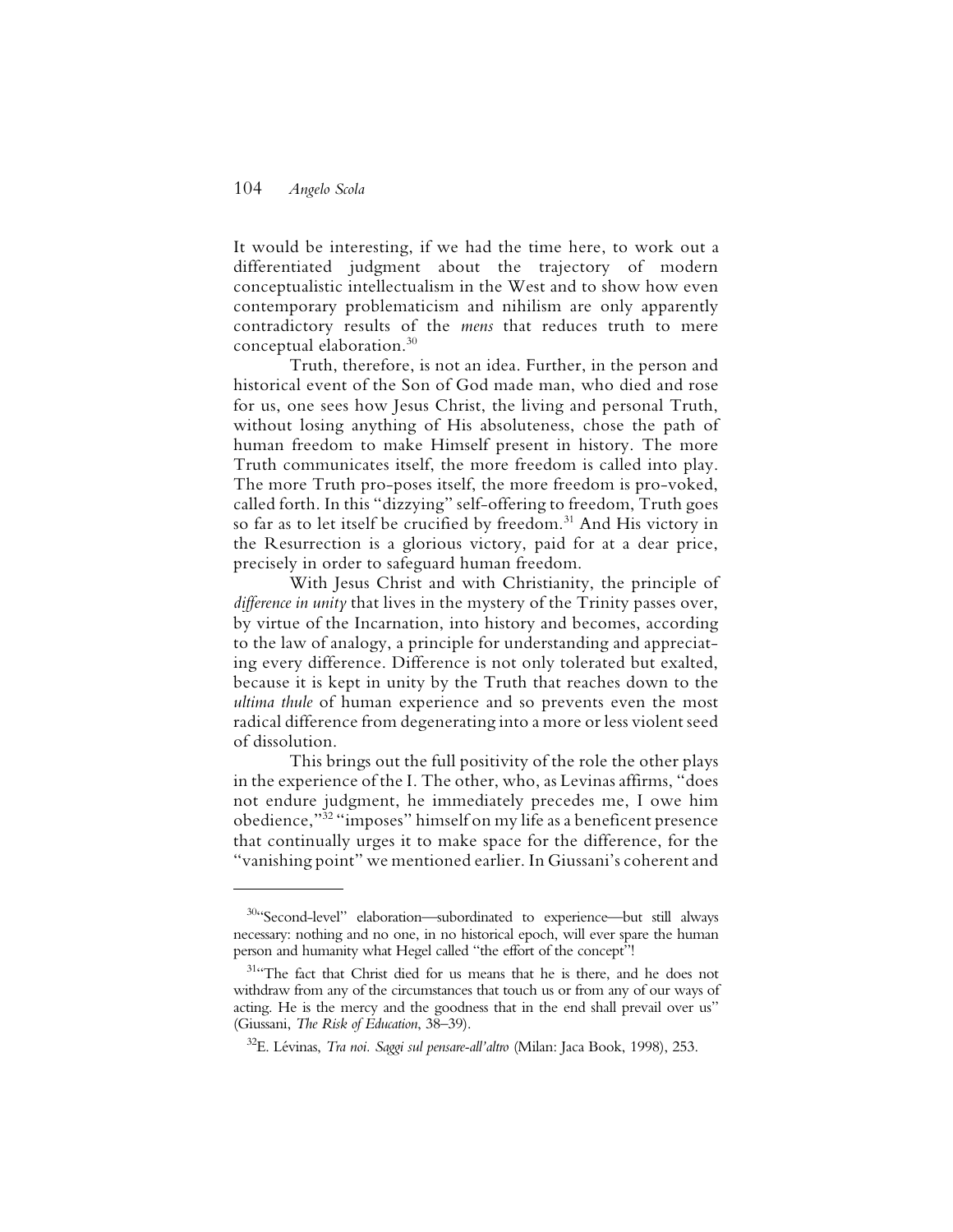It would be interesting, if we had the time here, to work out a differentiated judgment about the trajectory of modern conceptualistic intellectualism in the West and to show how even contemporary problematicism and nihilism are only apparently contradictory results of the *mens* that reduces truth to mere conceptual elaboration.<sup>30</sup>

Truth, therefore, is not an idea. Further, in the person and historical event of the Son of God made man, who died and rose for us, one sees how Jesus Christ, the living and personal Truth, without losing anything of His absoluteness, chose the path of human freedom to make Himself present in history. The more Truth communicates itself, the more freedom is called into play. The more Truth pro-poses itself, the more freedom is pro-voked, called forth. In this "dizzying" self-offering to freedom, Truth goes so far as to let itself be crucified by freedom.<sup>31</sup> And His victory in the Resurrection is a glorious victory, paid for at a dear price, precisely in order to safeguard human freedom.

With Jesus Christ and with Christianity, the principle of *difference in unity* that lives in the mystery of the Trinity passes over, by virtue of the Incarnation, into history and becomes, according to the law of analogy, a principle for understanding and appreciating every difference. Difference is not only tolerated but exalted, because it is kept in unity by the Truth that reaches down to the *ultima thule* of human experience and so prevents even the most radical difference from degenerating into a more or less violent seed of dissolution.

This brings out the full positivity of the role the other plays in the experience of the I. The other, who, as Levinas affirms, "does not endure judgment, he immediately precedes me, I owe him obedience,"<sup>32</sup> "imposes" himself on my life as a beneficent presence that continually urges it to make space for the difference, for the "vanishing point" we mentioned earlier. In Giussani's coherent and

<sup>30</sup>"Second-level" elaboration—subordinated to experience—but still always necessary: nothing and no one, in no historical epoch, will ever spare the human person and humanity what Hegel called "the effort of the concept"!

<sup>&</sup>lt;sup>31"</sup>The fact that Christ died for us means that he is there, and he does not withdraw from any of the circumstances that touch us or from any of our ways of acting. He is the mercy and the goodness that in the end shall prevail over us" (Giussani, *The Risk of Education*, 38–39).

<sup>32</sup>E. Lévinas, *Tra noi. Saggi sul pensare-all'altro* (Milan: Jaca Book, 1998), 253.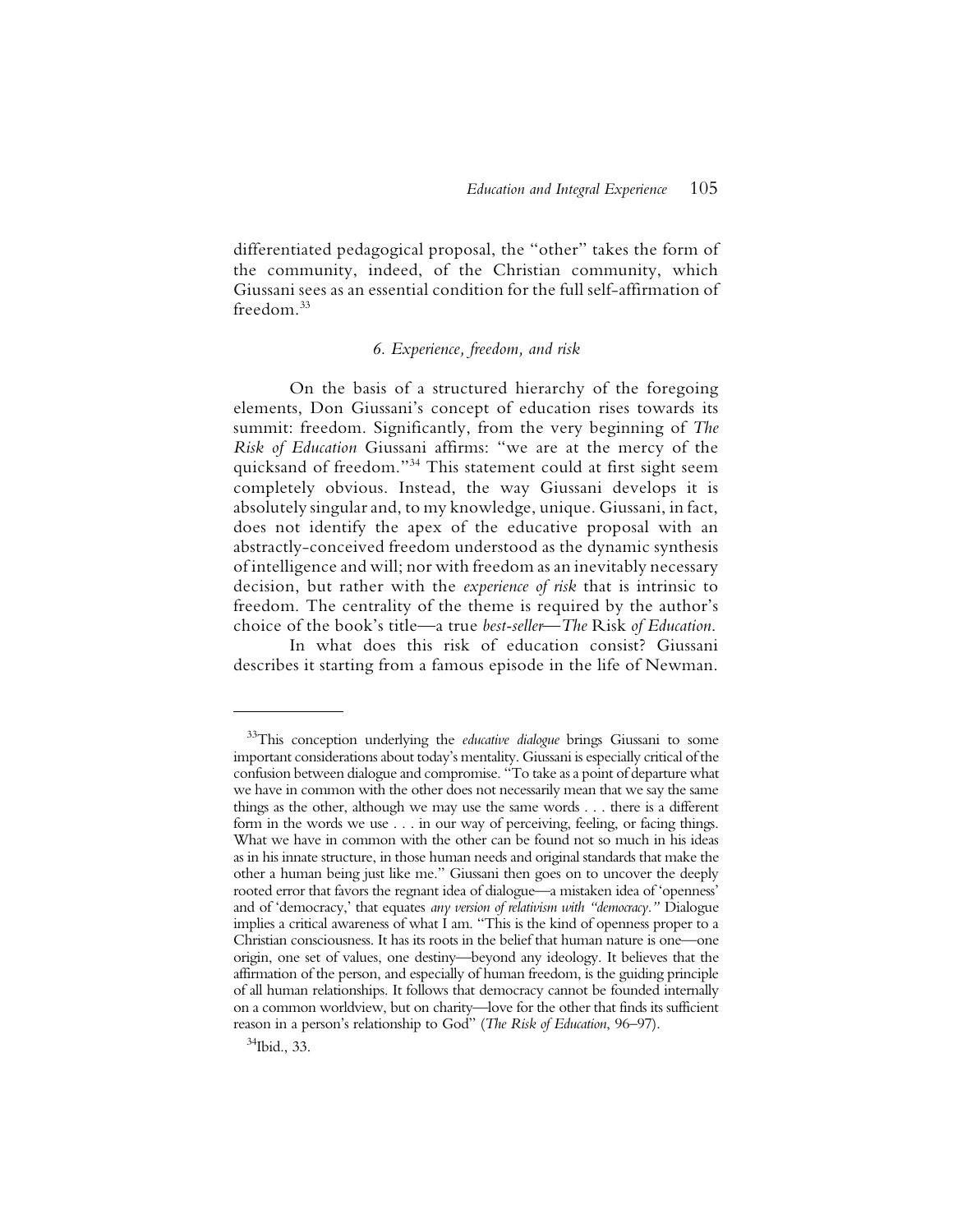differentiated pedagogical proposal, the "other" takes the form of the community, indeed, of the Christian community, which Giussani sees as an essential condition for the full self-affirmation of freedom.<sup>33</sup>

### *6. Experience, freedom, and risk*

On the basis of a structured hierarchy of the foregoing elements, Don Giussani's concept of education rises towards its summit: freedom. Significantly, from the very beginning of *The Risk of Education* Giussani affirms: "we are at the mercy of the quicksand of freedom."<sup>34</sup> This statement could at first sight seem completely obvious. Instead, the way Giussani develops it is absolutely singular and, to my knowledge, unique. Giussani, in fact, does not identify the apex of the educative proposal with an abstractly-conceived freedom understood as the dynamic synthesis of intelligence and will; nor with freedom as an inevitably necessary decision, but rather with the *experience of risk* that is intrinsic to freedom. The centrality of the theme is required by the author's choice of the book's title—a true *best-seller*—*The* Risk *of Education*.

In what does this risk of education consist? Giussani describes it starting from a famous episode in the life of Newman.

<sup>33</sup>This conception underlying the *educative dialogue* brings Giussani to some important considerations about today's mentality. Giussani is especially critical of the confusion between dialogue and compromise. "To take as a point of departure what we have in common with the other does not necessarily mean that we say the same things as the other, although we may use the same words . . . there is a different form in the words we use . . . in our way of perceiving, feeling, or facing things. What we have in common with the other can be found not so much in his ideas as in his innate structure, in those human needs and original standards that make the other a human being just like me." Giussani then goes on to uncover the deeply rooted error that favors the regnant idea of dialogue—a mistaken idea of 'openness' and of 'democracy,' that equates *any version of relativism with "democracy."* Dialogue implies a critical awareness of what I am. "This is the kind of openness proper to a Christian consciousness. It has its roots in the belief that human nature is one—one origin, one set of values, one destiny—beyond any ideology. It believes that the affirmation of the person, and especially of human freedom, is the guiding principle of all human relationships. It follows that democracy cannot be founded internally on a common worldview, but on charity—love for the other that finds its sufficient reason in a person's relationship to God" (*The Risk of Education*, 96–97).

 $34$ Ibid., 33.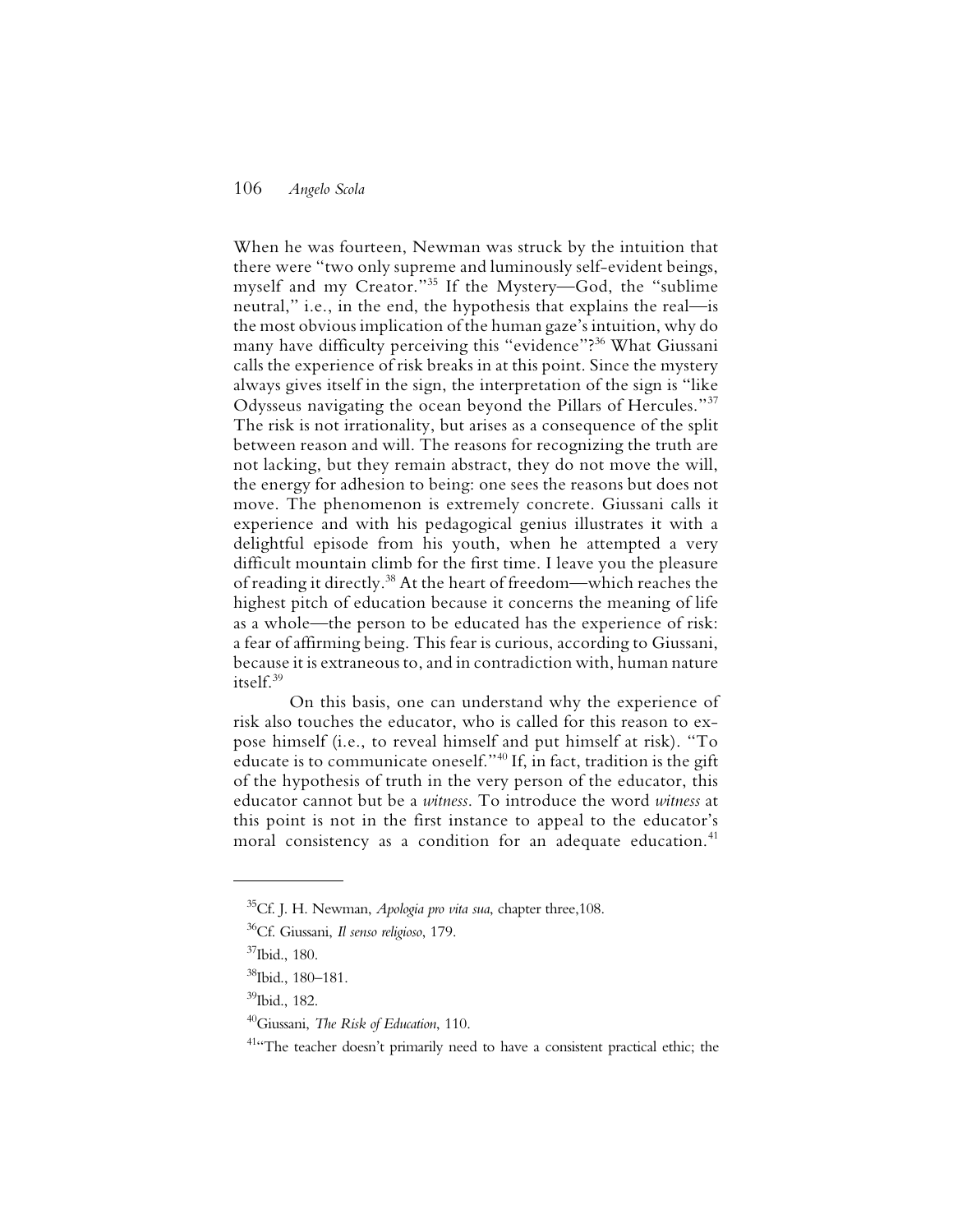When he was fourteen, Newman was struck by the intuition that there were "two only supreme and luminously self-evident beings, myself and my Creator."<sup>35</sup> If the Mystery—God, the "sublime neutral," i.e., in the end, the hypothesis that explains the real—is the most obvious implication of the human gaze's intuition, why do many have difficulty perceiving this "evidence"?<sup>36</sup> What Giussani calls the experience of risk breaks in at this point. Since the mystery always gives itself in the sign, the interpretation of the sign is "like Odysseus navigating the ocean beyond the Pillars of Hercules."<sup>37</sup> The risk is not irrationality, but arises as a consequence of the split between reason and will. The reasons for recognizing the truth are not lacking, but they remain abstract, they do not move the will, the energy for adhesion to being: one sees the reasons but does not move. The phenomenon is extremely concrete. Giussani calls it experience and with his pedagogical genius illustrates it with a delightful episode from his youth, when he attempted a very difficult mountain climb for the first time. I leave you the pleasure of reading it directly.<sup>38</sup> At the heart of freedom—which reaches the highest pitch of education because it concerns the meaning of life as a whole—the person to be educated has the experience of risk: a fear of affirming being. This fear is curious, according to Giussani, because it is extraneous to, and in contradiction with, human nature itself.<sup>39</sup>

On this basis, one can understand why the experience of risk also touches the educator, who is called for this reason to expose himself (i.e., to reveal himself and put himself at risk). "To educate is to communicate oneself."<sup>40</sup> If, in fact, tradition is the gift of the hypothesis of truth in the very person of the educator, this educator cannot but be a *witness*. To introduce the word *witness* at this point is not in the first instance to appeal to the educator's moral consistency as a condition for an adequate education.<sup>41</sup>

<sup>35</sup>Cf. J. H. Newman, *Apologia pro vita sua*, chapter three,108.

<sup>36</sup>Cf. Giussani, *Il senso religioso*, 179.

 $37$ Ibid., 180.

<sup>38</sup>Ibid., 180–181.

<sup>39</sup>Ibid., 182.

<sup>40</sup>Giussani, *The Risk of Education*, 110.

<sup>&</sup>lt;sup>41"</sup>The teacher doesn't primarily need to have a consistent practical ethic; the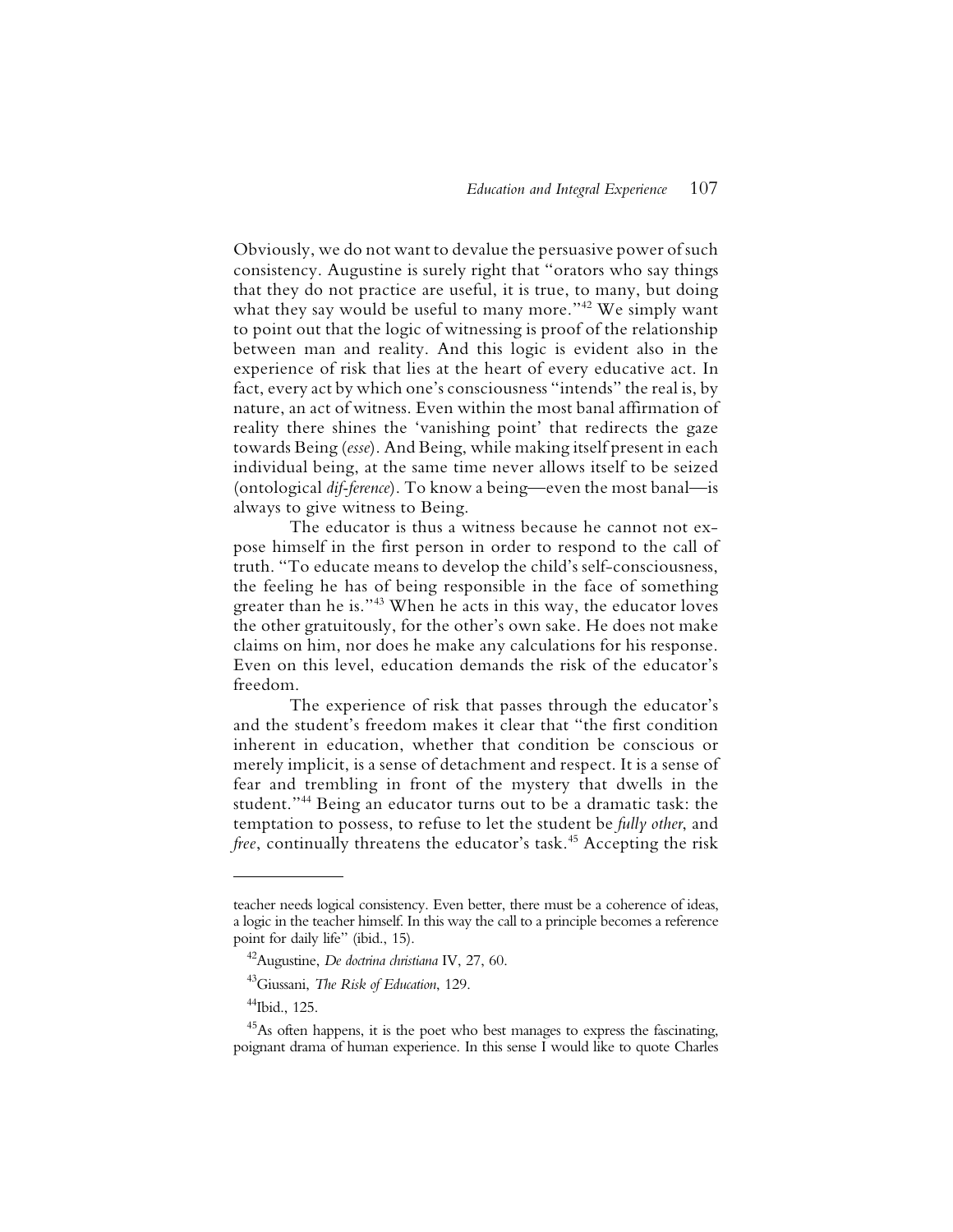Obviously, we do not want to devalue the persuasive power of such consistency. Augustine is surely right that "orators who say things that they do not practice are useful, it is true, to many, but doing what they say would be useful to many more."<sup>42</sup> We simply want to point out that the logic of witnessing is proof of the relationship between man and reality. And this logic is evident also in the experience of risk that lies at the heart of every educative act. In fact, every act by which one's consciousness "intends" the real is, by nature, an act of witness. Even within the most banal affirmation of reality there shines the 'vanishing point' that redirects the gaze towards Being (*esse*). And Being, while making itself present in each individual being, at the same time never allows itself to be seized (ontological *dif-ference*). To know a being—even the most banal—is always to give witness to Being.

The educator is thus a witness because he cannot not expose himself in the first person in order to respond to the call of truth. "To educate means to develop the child's self-consciousness, the feeling he has of being responsible in the face of something greater than he is."<sup>43</sup> When he acts in this way, the educator loves the other gratuitously, for the other's own sake. He does not make claims on him, nor does he make any calculations for his response. Even on this level, education demands the risk of the educator's freedom.

The experience of risk that passes through the educator's and the student's freedom makes it clear that "the first condition inherent in education, whether that condition be conscious or merely implicit, is a sense of detachment and respect. It is a sense of fear and trembling in front of the mystery that dwells in the student."<sup>44</sup> Being an educator turns out to be a dramatic task: the temptation to possess, to refuse to let the student be *fully other*, and *free*, continually threatens the educator's task.<sup>45</sup> Accepting the risk

teacher needs logical consistency. Even better, there must be a coherence of ideas, a logic in the teacher himself. In this way the call to a principle becomes a reference point for daily life" (ibid., 15).

<sup>42</sup>Augustine, *De doctrina christiana* IV, 27, 60.

<sup>43</sup>Giussani, *The Risk of Education*, 129.

 $^{44}$ Ibid., 125.

 $^{45}$ As often happens, it is the poet who best manages to express the fascinating, poignant drama of human experience. In this sense I would like to quote Charles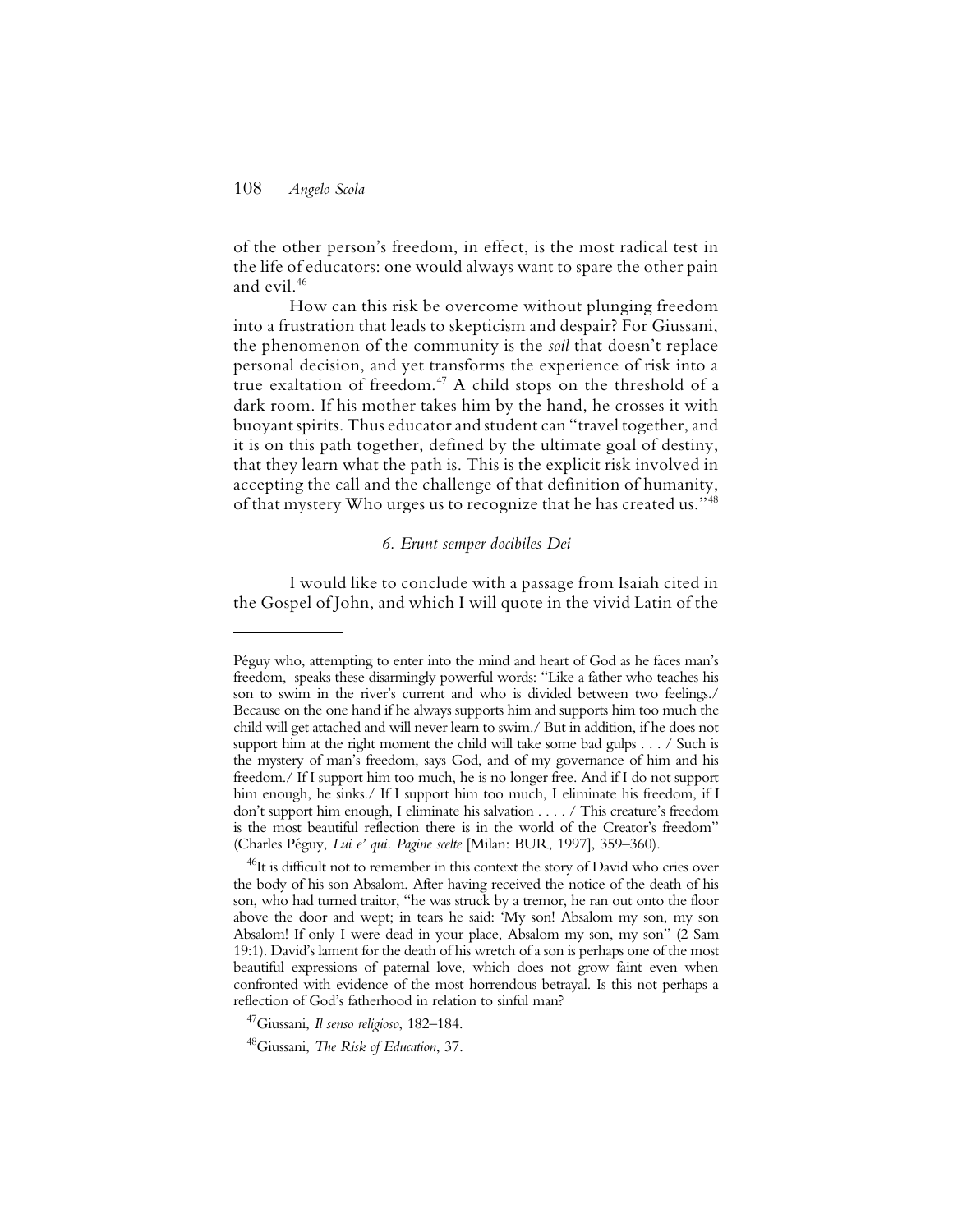of the other person's freedom, in effect, is the most radical test in the life of educators: one would always want to spare the other pain and evil.<sup>46</sup>

How can this risk be overcome without plunging freedom into a frustration that leads to skepticism and despair? For Giussani, the phenomenon of the community is the *soil* that doesn't replace personal decision, and yet transforms the experience of risk into a true exaltation of freedom.<sup>47</sup> A child stops on the threshold of a dark room. If his mother takes him by the hand, he crosses it with buoyant spirits. Thus educator and student can "travel together, and it is on this path together, defined by the ultimate goal of destiny, that they learn what the path is. This is the explicit risk involved in accepting the call and the challenge of that definition of humanity, of that mystery Who urges us to recognize that he has created us."<sup>48</sup>

#### *6. Erunt semper docibiles Dei*

I would like to conclude with a passage from Isaiah cited in the Gospel of John, and which I will quote in the vivid Latin of the

Péguy who, attempting to enter into the mind and heart of God as he faces man's freedom, speaks these disarmingly powerful words: "Like a father who teaches his son to swim in the river's current and who is divided between two feelings./ Because on the one hand if he always supports him and supports him too much the child will get attached and will never learn to swim./ But in addition, if he does not support him at the right moment the child will take some bad gulps . . . / Such is the mystery of man's freedom, says God, and of my governance of him and his freedom./ If I support him too much, he is no longer free. And if I do not support him enough, he sinks./ If I support him too much, I eliminate his freedom, if I don't support him enough, I eliminate his salvation . . . . / This creature's freedom is the most beautiful reflection there is in the world of the Creator's freedom" (Charles Péguy, *Lui e' qui. Pagine scelte* [Milan: BUR, 1997], 359–360).

<sup>&</sup>lt;sup>46</sup>It is difficult not to remember in this context the story of David who cries over the body of his son Absalom. After having received the notice of the death of his son, who had turned traitor, "he was struck by a tremor, he ran out onto the floor above the door and wept; in tears he said: 'My son! Absalom my son, my son Absalom! If only I were dead in your place, Absalom my son, my son" (2 Sam 19:1). David's lament for the death of his wretch of a son is perhaps one of the most beautiful expressions of paternal love, which does not grow faint even when confronted with evidence of the most horrendous betrayal. Is this not perhaps a reflection of God's fatherhood in relation to sinful man?

<sup>47</sup>Giussani, *Il senso religioso*, 182–184.

<sup>48</sup>Giussani, *The Risk of Education*, 37.